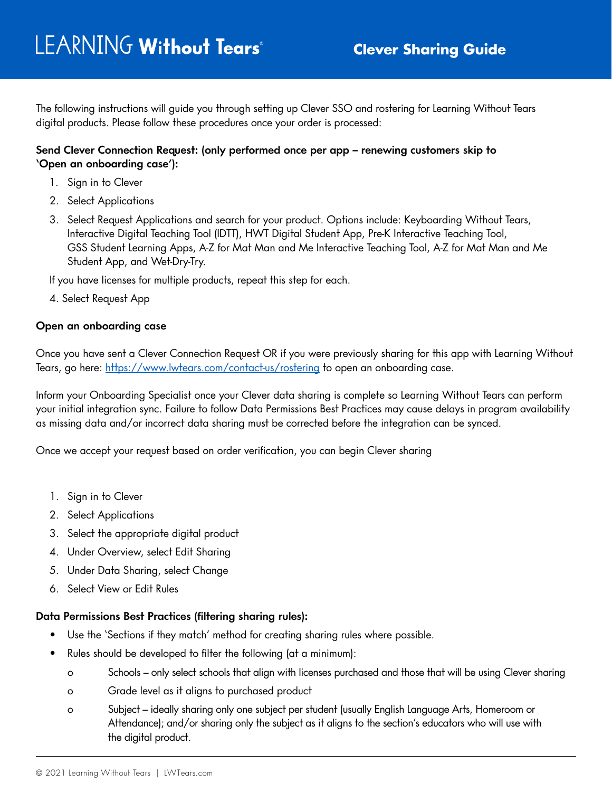The following instructions will guide you through setting up Clever SSO and rostering for Learning Without Tears digital products. Please follow these procedures once your order is processed:

## **Send Clever Connection Request: (only performed once per app – renewing customers skip to 'Open an onboarding case'):**

- 1. Sign in to Clever
- 2. Select Applications
- 3. Select Request Applications and search for your product. Options include: Keyboarding Without Tears, Interactive Digital Teaching Tool (IDTT), HWT Digital Student App, Pre-K Interactive Teaching Tool, GSS Student Learning Apps, A-Z for Mat Man and Me Interactive Teaching Tool, A-Z for Mat Man and Me Student App, and Wet-Dry-Try.

If you have licenses for multiple products, repeat this step for each.

4. Select Request App

## **Open an onboarding case**

Once you have sent a Clever Connection Request OR if you were previously sharing for this app with Learning Without Tears, go here: <https://www.lwtears.com/contact-us/rostering>to open an onboarding case.

Inform your Onboarding Specialist once your Clever data sharing is complete so Learning Without Tears can perform your initial integration sync. Failure to follow Data Permissions Best Practices may cause delays in program availability as missing data and/or incorrect data sharing must be corrected before the integration can be synced.

Once we accept your request based on order verification, you can begin Clever sharing

- 1. Sign in to Clever
- 2. Select Applications
- 3. Select the appropriate digital product
- 4. Under Overview, select Edit Sharing
- 5. Under Data Sharing, select Change
- 6. Select View or Edit Rules

## **Data Permissions Best Practices (filtering sharing rules):**

- Use the 'Sections if they match' method for creating sharing rules where possible.
- Rules should be developed to filter the following (at a minimum):
	- o Schools only select schools that align with licenses purchased and those that will be using Clever sharing
	- o Grade level as it aligns to purchased product
	- o Subject ideally sharing only one subject per student (usually English Language Arts, Homeroom or Attendance); and/or sharing only the subject as it aligns to the section's educators who will use with the digital product.